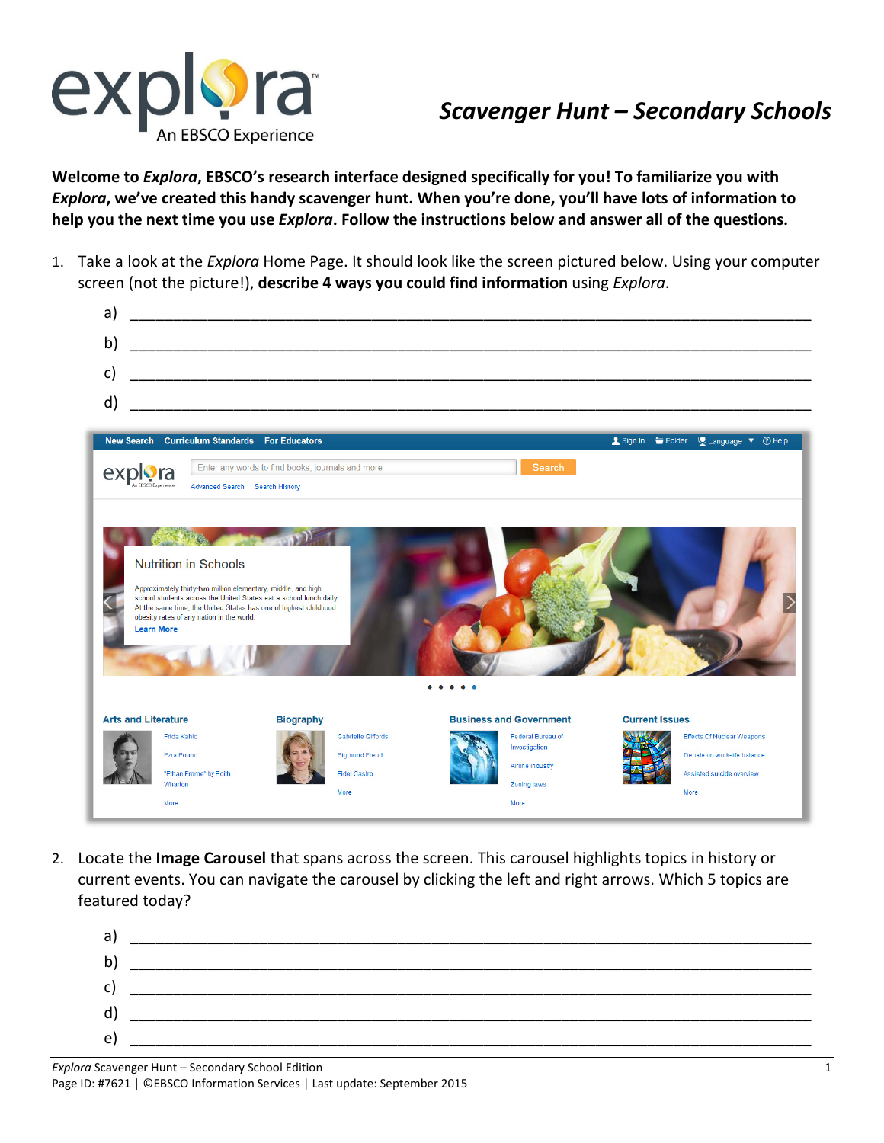

## *Scavenger Hunt – Secondary Schools*

**Welcome to** *Explora***, EBSCO's research interface designed specifically for you! To familiarize you with**  *Explora***, we've created this handy scavenger hunt. When you're done, you'll have lots of information to help you the next time you use** *Explora***. Follow the instructions below and answer all of the questions.**

1. Take a look at the *Explora* Home Page. It should look like the screen pictured below. Using your computer screen (not the picture!), **describe 4 ways you could find information** using *Explora*.



2. Locate the **Image Carousel** that spans across the screen. This carousel highlights topics in history or current events. You can navigate the carousel by clicking the left and right arrows. Which 5 topics are featured today?

| a) |  |
|----|--|
| b) |  |
| c) |  |
| d) |  |
| e) |  |
|    |  |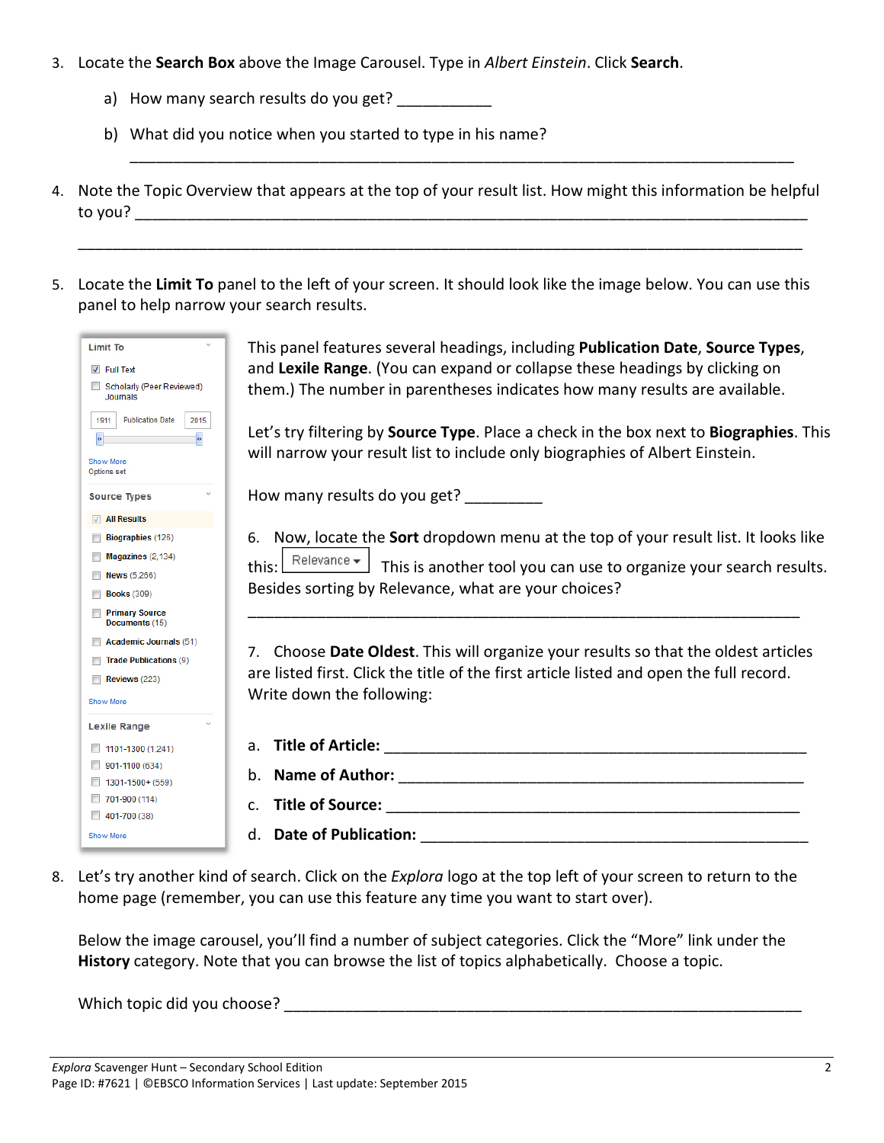- 3. Locate the **Search Box** above the Image Carousel. Type in *Albert Einstein*. Click **Search**.
	- a) How many search results do you get? \_\_\_\_\_\_\_\_\_\_\_
	- b) What did you notice when you started to type in his name?
- 4. Note the Topic Overview that appears at the top of your result list. How might this information be helpful to you? \_\_\_\_\_\_\_\_\_\_\_\_\_\_\_\_\_\_\_\_\_\_\_\_\_\_\_\_\_\_\_\_\_\_\_\_\_\_\_\_\_\_\_\_\_\_\_\_\_\_\_\_\_\_\_\_\_\_\_\_\_\_\_\_\_\_\_\_\_\_\_\_\_\_\_\_\_\_

\_\_\_\_\_\_\_\_\_\_\_\_\_\_\_\_\_\_\_\_\_\_\_\_\_\_\_\_\_\_\_\_\_\_\_\_\_\_\_\_\_\_\_\_\_\_\_\_\_\_\_\_\_\_\_\_\_\_\_\_\_\_\_\_\_\_\_\_\_\_\_\_\_\_\_\_\_\_\_\_\_\_\_\_

\_\_\_\_\_\_\_\_\_\_\_\_\_\_\_\_\_\_\_\_\_\_\_\_\_\_\_\_\_\_\_\_\_\_\_\_\_\_\_\_\_\_\_\_\_\_\_\_\_\_\_\_\_\_\_\_\_\_\_\_\_\_\_\_\_\_\_\_\_\_\_\_\_\_\_\_\_

5. Locate the **Limit To** panel to the left of your screen. It should look like the image below. You can use this panel to help narrow your search results.

| <b>Limit To</b><br>$\triangledown$ Full Text<br>Scholarly (Peer Reviewed)<br>Journals<br><b>Publication Date</b><br>1911<br>2015 | This panel features several headings, including <b>Publication Date, Source Types</b> ,<br>and Lexile Range. (You can expand or collapse these headings by clicking on<br>them.) The number in parentheses indicates how many results are available. |
|----------------------------------------------------------------------------------------------------------------------------------|------------------------------------------------------------------------------------------------------------------------------------------------------------------------------------------------------------------------------------------------------|
| <b>Show More</b><br>Options set                                                                                                  | Let's try filtering by <b>Source Type</b> . Place a check in the box next to <b>Biographies</b> . This<br>will narrow your result list to include only biographies of Albert Einstein.                                                               |
| <b>Source Types</b>                                                                                                              | How many results do you get? _________                                                                                                                                                                                                               |
| $\sqrt{ }$ All Results                                                                                                           |                                                                                                                                                                                                                                                      |
| Biographies (126)                                                                                                                | 6. Now, locate the <b>Sort</b> dropdown menu at the top of your result list. It looks like                                                                                                                                                           |
| Magazines (2,134)                                                                                                                | this: $\boxed{\text{Relevance}\neq}$ This is another tool you can use to organize your search results.                                                                                                                                               |
| <b>News</b> (5,266)                                                                                                              |                                                                                                                                                                                                                                                      |
| <b>Books (309)</b>                                                                                                               | Besides sorting by Relevance, what are your choices?                                                                                                                                                                                                 |
| <b>Primary Source</b><br>Documents (15)                                                                                          |                                                                                                                                                                                                                                                      |
| <b>Academic Journals (51)</b>                                                                                                    |                                                                                                                                                                                                                                                      |
| <b>Trade Publications (9)</b>                                                                                                    | 7. Choose Date Oldest. This will organize your results so that the oldest articles                                                                                                                                                                   |
| Reviews (223)                                                                                                                    | are listed first. Click the title of the first article listed and open the full record.                                                                                                                                                              |
| <b>Show More</b>                                                                                                                 | Write down the following:                                                                                                                                                                                                                            |
| <b>Lexile Range</b>                                                                                                              |                                                                                                                                                                                                                                                      |
| $\Box$ 1101-1300 (1,241)                                                                                                         |                                                                                                                                                                                                                                                      |
| 901-1100 (634)                                                                                                                   |                                                                                                                                                                                                                                                      |
| 1301-1500+ (559)                                                                                                                 |                                                                                                                                                                                                                                                      |
| ■ 701-900 (114)                                                                                                                  |                                                                                                                                                                                                                                                      |
| $1401 - 700(38)$                                                                                                                 |                                                                                                                                                                                                                                                      |
| Show More                                                                                                                        | <b>Date of Publication:</b><br>$d_{\cdot}$<br><u> 2000 - 2000 - 2000 - 2000 - 2000 - 2000 - 2000 - 2000 - 2000 - 2000 - 2000 - 2000 - 2000 - 2000 - 2000 - 200</u>                                                                                   |

8. Let's try another kind of search. Click on the *Explora* logo at the top left of your screen to return to the home page (remember, you can use this feature any time you want to start over).

Below the image carousel, you'll find a number of subject categories. Click the "More" link under the **History** category. Note that you can browse the list of topics alphabetically. Choose a topic.

Which topic did you choose? **Which topic did you choose**?